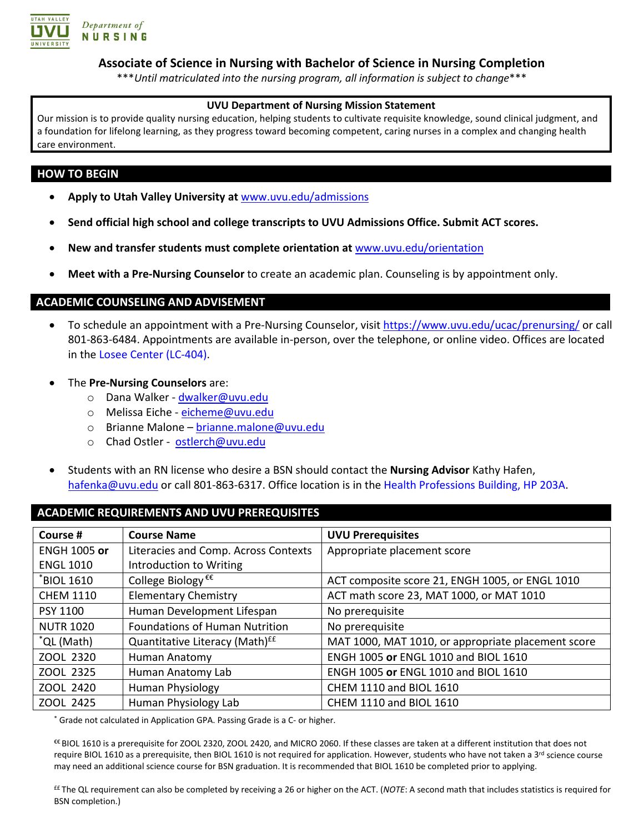

#### **Associate of Science in Nursing with Bachelor of Science in Nursing Completion**

\*\*\**Until matriculated into the nursing program, all information is subject to change*\*\*\*

#### **UVU Department of Nursing Mission Statement**

Our mission is to provide quality nursing education, helping students to cultivate requisite knowledge, sound clinical judgment, and a foundation for lifelong learning, as they progress toward becoming competent, caring nurses in a complex and changing health care environment.

#### **HOW TO BEGIN**

- **Apply to Utah Valley University at** [www.uvu.edu/admissions](http://www.uvu.edu/admissions)
- **Send official high school and college transcripts to UVU Admissions Office. Submit ACT scores.**
- **New and transfer students must complete orientation at** [www.uvu.edu/orientation](http://www.uvu.edu/orientation)
- **Meet with a Pre-Nursing Counselor** to create an academic plan. Counseling is by appointment only.

#### **ACADEMIC COUNSELING AND ADVISEMENT**

- To schedule an appointment with a Pre-Nursing Counselor, visit <https://www.uvu.edu/ucac/prenursing/> or call 801-863-6484. Appointments are available in-person, over the telephone, or online video. Offices are located in the [Losee Center \(LC-404\).](https://www.uvu.edu/maps/map.html?id=382#!ct/18632?mc/40.27936196816123,-111.71381235122682?z/16)
- The **Pre-Nursing Counselors** are:
	- o Dana Walker [dwalker@uvu.edu](mailto:dwalker@uvu.edu)
	- o Melissa Eiche [eicheme@uvu.edu](mailto:eicheme@uvu.edu)
	- o Brianne Malone [brianne.malone@uvu.edu](mailto:brianne.malone@uvu.edu)
	- o Chad Ostler [ostlerch@uvu.edu](mailto:ostlerch@uvu.edu)
- Students with an RN license who desire a BSN should contact the **Nursing Advisor** Kathy Hafen, [hafenka@uvu.edu](mailto:hafenka@uvu.edu) or call 801-863-6317. Office location is in the [Health Professions Building, HP 203A.](https://www.uvu.edu/maps/map.html?id=382#!ct/18632?mc/40.27936196816123,-111.71381235122682?z/16)

#### **ACADEMIC REQUIREMENTS AND UVU PREREQUISITES**

| Course #            | <b>Course Name</b>                         | <b>UVU Prerequisites</b>                           |
|---------------------|--------------------------------------------|----------------------------------------------------|
| <b>ENGH 1005 or</b> | Literacies and Comp. Across Contexts       | Appropriate placement score                        |
| <b>ENGL 1010</b>    | Introduction to Writing                    |                                                    |
| *BIOL 1610          | College Biology <sup>€€</sup>              | ACT composite score 21, ENGH 1005, or ENGL 1010    |
| <b>CHEM 1110</b>    | <b>Elementary Chemistry</b>                | ACT math score 23, MAT 1000, or MAT 1010           |
| <b>PSY 1100</b>     | Human Development Lifespan                 | No prerequisite                                    |
| <b>NUTR 1020</b>    | <b>Foundations of Human Nutrition</b>      | No prerequisite                                    |
| *QL (Math)          | Quantitative Literacy (Math) <sup>EE</sup> | MAT 1000, MAT 1010, or appropriate placement score |
| ZOOL 2320           | Human Anatomy                              | ENGH 1005 or ENGL 1010 and BIOL 1610               |
| ZOOL 2325           | Human Anatomy Lab                          | ENGH 1005 or ENGL 1010 and BIOL 1610               |
| ZOOL 2420           | Human Physiology                           | CHEM 1110 and BIOL 1610                            |
| ZOOL 2425           | Human Physiology Lab                       | <b>CHEM 1110 and BIOL 1610</b>                     |

\* Grade not calculated in Application GPA. Passing Grade is a C- or higher.

€€ BIOL 1610 is a prerequisite for ZOOL 2320, ZOOL 2420, and MICRO 2060. If these classes are taken at a different institution that does not require BIOL 1610 as a prerequisite, then BIOL 1610 is not required for application. However, students who have not taken a 3<sup>rd</sup> science course may need an additional science course for BSN graduation. It is recommended that BIOL 1610 be completed prior to applying.

££ The QL requirement can also be completed by receiving a 26 or higher on the ACT. (*NOTE*: A second math that includes statistics is required for BSN completion.)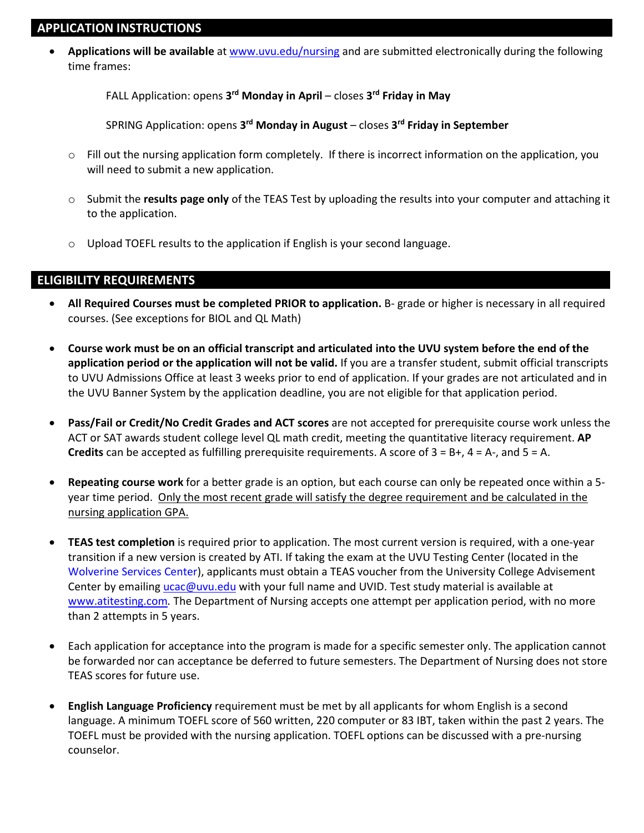### **APPLICATION INSTRUCTIONS**

• **Applications will be available** at [www.uvu.edu/nursing](http://www.uvu.edu/nursing) and are submitted electronically during the following time frames:

FALL Application: opens **3rd Monday in April** – closes **3rd Friday in May** 

SPRING Application: opens **3rd Monday in August** – closes **3rd Friday in September**

- $\circ$  Fill out the nursing application form completely. If there is incorrect information on the application, you will need to submit a new application.
- o Submit the **results page only** of the TEAS Test by uploading the results into your computer and attaching it to the application.
- o Upload TOEFL results to the application if English is your second language.

### **ELIGIBILITY REQUIREMENTS**

- **All Required Courses must be completed PRIOR to application.** B- grade or higher is necessary in all required courses. (See exceptions for BIOL and QL Math)
- **Course work must be on an official transcript and articulated into the UVU system before the end of the application period or the application will not be valid.** If you are a transfer student, submit official transcripts to UVU Admissions Office at least 3 weeks prior to end of application. If your grades are not articulated and in the UVU Banner System by the application deadline, you are not eligible for that application period.
- **Pass/Fail or Credit/No Credit Grades and ACT scores** are not accepted for prerequisite course work unless the ACT or SAT awards student college level QL math credit, meeting the quantitative literacy requirement. **AP Credits** can be accepted as fulfilling prerequisite requirements. A score of 3 = B+, 4 = A-, and 5 = A.
- **Repeating course work** for a better grade is an option, but each course can only be repeated once within a 5 year time period. Only the most recent grade will satisfy the degree requirement and be calculated in the nursing application GPA.
- **TEAS test completion** is required prior to application. The most current version is required, with a one-year transition if a new version is created by ATI. If taking the exam at the UVU Testing Center (located in the [Wolverine Services Center\)](https://www.uvu.edu/maps/map.html?id=382#!ct/18632?mc/40.27936196816123,-111.71381235122682?z/16), applicants must obtain a TEAS voucher from the University College Advisement Center by emailing [ucac@uvu.edu](mailto:ucac@uvu.edu) with your full name and UVID. Test study material is available at [www.atitesting.com](http://www.atitesting.com/)*.* The Department of Nursing accepts one attempt per application period, with no more than 2 attempts in 5 years.
- Each application for acceptance into the program is made for a specific semester only. The application cannot be forwarded nor can acceptance be deferred to future semesters. The Department of Nursing does not store TEAS scores for future use.
- **English Language Proficiency** requirement must be met by all applicants for whom English is a second language. A minimum TOEFL score of 560 written, 220 computer or 83 IBT, taken within the past 2 years. The TOEFL must be provided with the nursing application. TOEFL options can be discussed with a pre-nursing counselor.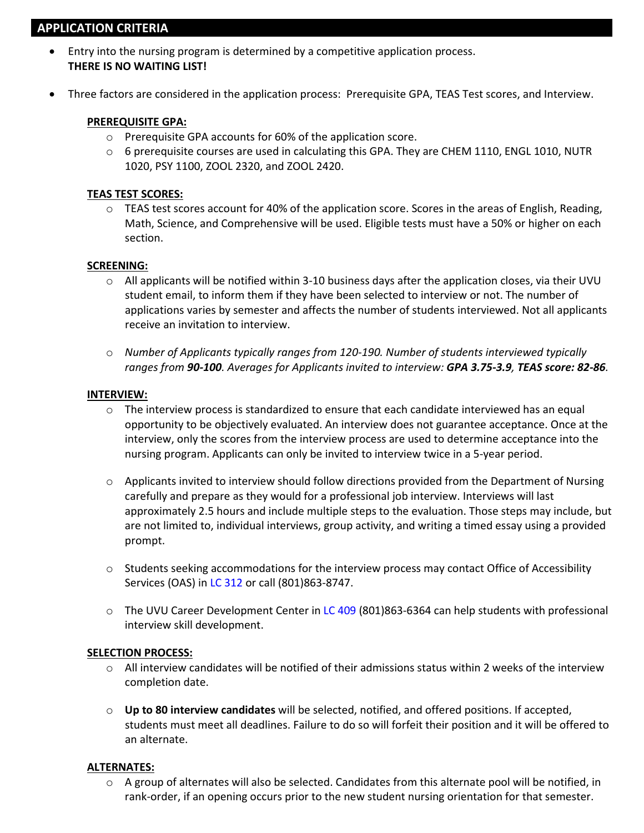# **APPLICATION CRITERIA**

- Entry into the nursing program is determined by a competitive application process. **THERE IS NO WAITING LIST!**
- Three factors are considered in the application process: Prerequisite GPA, TEAS Test scores, and Interview.

#### **PREREQUISITE GPA:**

- o Prerequisite GPA accounts for 60% of the application score.
- $\circ$  6 prerequisite courses are used in calculating this GPA. They are CHEM 1110, ENGL 1010, NUTR 1020, PSY 1100, ZOOL 2320, and ZOOL 2420.

#### **TEAS TEST SCORES:**

 $\circ$  TEAS test scores account for 40% of the application score. Scores in the areas of English, Reading, Math, Science, and Comprehensive will be used. Eligible tests must have a 50% or higher on each section.

#### **SCREENING:**

- $\circ$  All applicants will be notified within 3-10 business days after the application closes, via their UVU student email, to inform them if they have been selected to interview or not. The number of applications varies by semester and affects the number of students interviewed. Not all applicants receive an invitation to interview.
- o *Number of Applicants typically ranges from 120-190. Number of students interviewed typically ranges from 90-100. Averages for Applicants invited to interview: GPA 3.75-3.9, TEAS score: 82-86.*

#### **INTERVIEW:**

- $\circ$  The interview process is standardized to ensure that each candidate interviewed has an equal opportunity to be objectively evaluated. An interview does not guarantee acceptance. Once at the interview, only the scores from the interview process are used to determine acceptance into the nursing program. Applicants can only be invited to interview twice in a 5-year period.
- $\circ$  Applicants invited to interview should follow directions provided from the Department of Nursing carefully and prepare as they would for a professional job interview. Interviews will last approximately 2.5 hours and include multiple steps to the evaluation. Those steps may include, but are not limited to, individual interviews, group activity, and writing a timed essay using a provided prompt.
- $\circ$  Students seeking accommodations for the interview process may contact Office of Accessibility Services (OAS) i[n LC 312](https://www.uvu.edu/maps/map.html?id=382#!ct/18632?mc/40.27936196816123,-111.71381235122682?z/16) or call (801)863-8747.
- $\circ$  The UVU Career Development Center i[n LC 409](https://www.uvu.edu/maps/map.html?id=382#!ct/18632?mc/40.27936196816123,-111.71381235122682?z/16) (801)863-6364 can help students with professional interview skill development.

#### **SELECTION PROCESS:**

- $\circ$  All interview candidates will be notified of their admissions status within 2 weeks of the interview completion date.
- o **Up to 80 interview candidates** will be selected, notified, and offered positions. If accepted, students must meet all deadlines. Failure to do so will forfeit their position and it will be offered to an alternate.

#### **ALTERNATES:**

 $\circ$  A group of alternates will also be selected. Candidates from this alternate pool will be notified, in rank-order, if an opening occurs prior to the new student nursing orientation for that semester.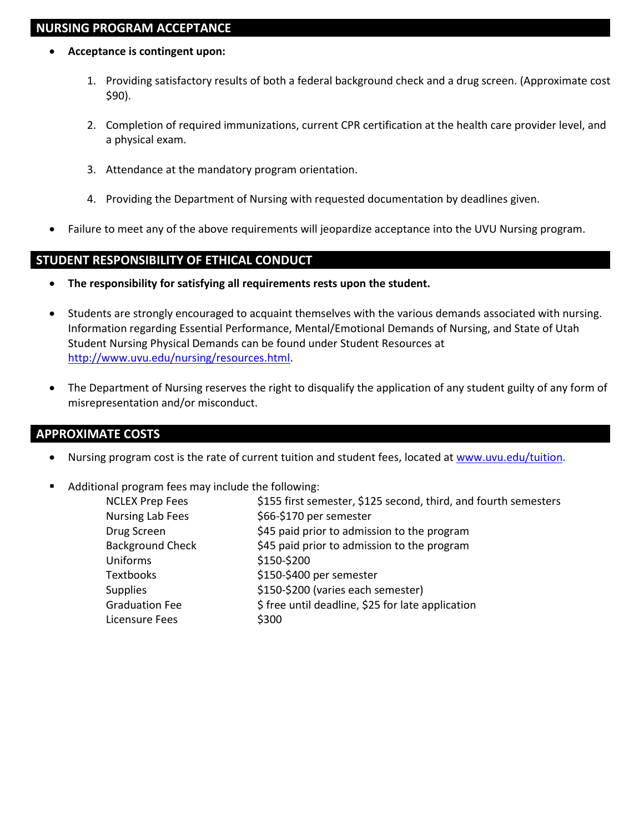# **NURSING PROGRAM ACCEPTANCE**

- **Acceptance is contingent upon:**
	- 1. Providing satisfactory results of both a federal background check and a drug screen. (Approximate cost \$90).
	- 2. Completion of required immunizations, current CPR certification at the health care provider level, and a physical exam.
	- 3. Attendance at the mandatory program orientation.
	- 4. Providing the Department of Nursing with requested documentation by deadlines given.
- Failure to meet any of the above requirements will jeopardize acceptance into the UVU Nursing program.

### **STUDENT RESPONSIBILITY OF ETHICAL CONDUCT**

- **The responsibility for satisfying all requirements rests upon the student.**
- Students are strongly encouraged to acquaint themselves with the various demands associated with nursing. Information regarding Essential Performance, Mental/Emotional Demands of Nursing, and State of Utah Student Nursing Physical Demands can be found under Student Resources at [http://www.uvu.edu/nursing/resources.html.](http://www.uvu.edu/nursing/resources.html)
- The Department of Nursing reserves the right to disqualify the application of any student guilty of any form of misrepresentation and/or misconduct.

### **APPROXIMATE COSTS**

- Nursing program cost is the rate of current tuition and student fees, located at [www.uvu.edu/tuition.](http://www.uvu.edu/tuition)
- Additional program fees may include the following:

| \$155 first semester, \$125 second, third, and fourth semesters |
|-----------------------------------------------------------------|
| \$66-\$170 per semester                                         |
| \$45 paid prior to admission to the program                     |
| \$45 paid prior to admission to the program                     |
| \$150-\$200                                                     |
| \$150-\$400 per semester                                        |
| \$150-\$200 (varies each semester)                              |
| \$ free until deadline, \$25 for late application               |
| \$300                                                           |
|                                                                 |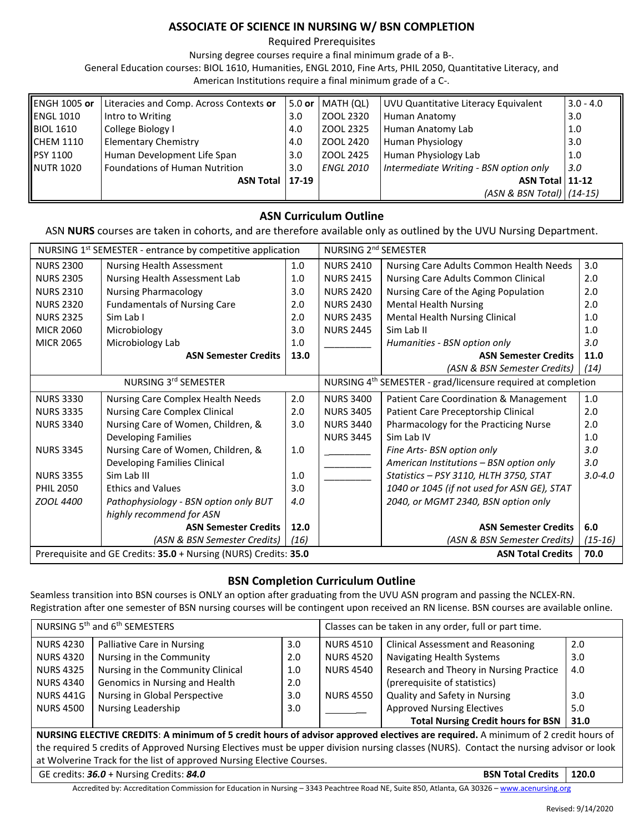### **ASSOCIATE OF SCIENCE IN NURSING W/ BSN COMPLETION**

Required Prerequisites

Nursing degree courses require a final minimum grade of a B-.

General Education courses: BIOL 1610, Humanities, ENGL 2010, Fine Arts, PHIL 2050, Quantitative Literacy, and

American Institutions require a final minimum grade of a C-.

| <b>ENGH 1005 or</b> | Literacies and Comp. Across Contexts or | 5.0 or  | MATH (QL)        | UVU Quantitative Literacy Equivalent   | $3.0 - 4.0$ |
|---------------------|-----------------------------------------|---------|------------------|----------------------------------------|-------------|
| <b>ENGL 1010</b>    | Intro to Writing                        | 3.0     | ZOOL 2320        | Human Anatomy                          | 3.0         |
| <b>BIOL 1610</b>    | College Biology I                       | 4.0     | l ZOOL 2325      | Human Anatomy Lab                      | 1.0         |
| ICHEM 1110          | <b>Elementary Chemistry</b>             | 4.0     | l ZOOL 2420      | <b>Human Physiology</b>                | 3.0         |
| <b>PSY 1100</b>     | Human Development Life Span             | 3.0     | ZOOL 2425        | Human Physiology Lab                   | 1.0         |
| <b>NUTR 1020</b>    | l Foundations of Human Nutrition        | 3.0     | <b>ENGL 2010</b> | Intermediate Writing - BSN option only | 3.0         |
|                     | <b>ASN Total</b>                        | $17-19$ |                  | ASN Total 11-12                        |             |
|                     |                                         |         |                  | (ASN & BSN Total) (14-15)              |             |

### **ASN Curriculum Outline**

ASN **NURS** courses are taken in cohorts, and are therefore available only as outlined by the UVU Nursing Department.

| NURSING 1 <sup>st</sup> SEMESTER - entrance by competitive application                       |                                       | NURSING 2 <sup>nd</sup> SEMESTER |                                                                          |                                             |             |
|----------------------------------------------------------------------------------------------|---------------------------------------|----------------------------------|--------------------------------------------------------------------------|---------------------------------------------|-------------|
| <b>NURS 2300</b>                                                                             | Nursing Health Assessment             | 1.0                              | <b>NURS 2410</b>                                                         | Nursing Care Adults Common Health Needs     | 3.0         |
| <b>NURS 2305</b>                                                                             | Nursing Health Assessment Lab         | 1.0                              | <b>NURS 2415</b>                                                         | Nursing Care Adults Common Clinical         | 2.0         |
| <b>NURS 2310</b>                                                                             | <b>Nursing Pharmacology</b>           | 3.0                              | <b>NURS 2420</b>                                                         | Nursing Care of the Aging Population        | 2.0         |
| <b>NURS 2320</b>                                                                             | <b>Fundamentals of Nursing Care</b>   | 2.0                              | <b>NURS 2430</b>                                                         | <b>Mental Health Nursing</b>                | 2.0         |
| <b>NURS 2325</b>                                                                             | Sim Lab I                             | 2.0                              | <b>NURS 2435</b>                                                         | Mental Health Nursing Clinical              | 1.0         |
| <b>MICR 2060</b>                                                                             | Microbiology                          | 3.0                              | <b>NURS 2445</b>                                                         | Sim Lab II                                  | 1.0         |
| <b>MICR 2065</b>                                                                             | Microbiology Lab                      | 1.0                              |                                                                          | Humanities - BSN option only                | 3.0         |
|                                                                                              | <b>ASN Semester Credits</b>           | 13.0                             |                                                                          | <b>ASN Semester Credits</b>                 | 11.0        |
|                                                                                              |                                       |                                  |                                                                          | (ASN & BSN Semester Credits)                | (14)        |
| NURSING 3rd SEMESTER                                                                         |                                       |                                  | NURSING 4 <sup>th</sup> SEMESTER - grad/licensure required at completion |                                             |             |
| <b>NURS 3330</b>                                                                             | Nursing Care Complex Health Needs     | 2.0                              | <b>NURS 3400</b>                                                         | Patient Care Coordination & Management      | 1.0         |
| <b>NURS 3335</b>                                                                             | <b>Nursing Care Complex Clinical</b>  | 2.0                              | <b>NURS 3405</b>                                                         | Patient Care Preceptorship Clinical         | 2.0         |
| <b>NURS 3340</b>                                                                             | Nursing Care of Women, Children, &    | 3.0                              | <b>NURS 3440</b>                                                         | Pharmacology for the Practicing Nurse       | 2.0         |
|                                                                                              | Developing Families                   |                                  | <b>NURS 3445</b>                                                         | Sim Lab IV                                  | 1.0         |
| <b>NURS 3345</b>                                                                             | Nursing Care of Women, Children, &    | 1.0                              |                                                                          | Fine Arts- BSN option only                  | 3.0         |
|                                                                                              | Developing Families Clinical          |                                  |                                                                          | American Institutions - BSN option only     | 3.0         |
| <b>NURS 3355</b>                                                                             | Sim Lab III                           | 1.0                              |                                                                          | Statistics - PSY 3110, HLTH 3750, STAT      | $3.0 - 4.0$ |
| <b>PHIL 2050</b>                                                                             | <b>Ethics and Values</b>              | 3.0                              |                                                                          | 1040 or 1045 (if not used for ASN GE), STAT |             |
| <b>ZOOL 4400</b>                                                                             | Pathophysiology - BSN option only BUT | 4.0                              |                                                                          | 2040, or MGMT 2340, BSN option only         |             |
|                                                                                              | highly recommend for ASN              |                                  |                                                                          |                                             |             |
|                                                                                              | <b>ASN Semester Credits</b>           | 12.0                             |                                                                          | <b>ASN Semester Credits</b>                 | 6.0         |
|                                                                                              | (ASN & BSN Semester Credits)          | (16)                             |                                                                          | (ASN & BSN Semester Credits)                | $(15-16)$   |
| Prerequisite and GE Credits: 35.0 + Nursing (NURS) Credits: 35.0<br><b>ASN Total Credits</b> |                                       |                                  |                                                                          | 70.0                                        |             |

### **BSN Completion Curriculum Outline**

Seamless transition into BSN courses is ONLY an option after graduating from the UVU ASN program and passing the NCLEX-RN. Registration after one semester of BSN nursing courses will be contingent upon received an RN license. BSN courses are available online.

| NURSING 5 <sup>th</sup> and 6 <sup>th</sup> SEMESTERS                                                                                   |                                   | Classes can be taken in any order, full or part time. |                  |                                           |       |
|-----------------------------------------------------------------------------------------------------------------------------------------|-----------------------------------|-------------------------------------------------------|------------------|-------------------------------------------|-------|
| <b>NURS 4230</b>                                                                                                                        | Palliative Care in Nursing        | 3.0 <sub>2</sub>                                      | <b>NURS 4510</b> | <b>Clinical Assessment and Reasoning</b>  | 2.0   |
| <b>NURS 4320</b>                                                                                                                        | Nursing in the Community          | 2.0                                                   | <b>NURS 4520</b> | Navigating Health Systems                 | 3.0   |
| <b>NURS 4325</b>                                                                                                                        | Nursing in the Community Clinical | 1.0                                                   | <b>NURS 4540</b> | Research and Theory in Nursing Practice   | 4.0   |
| <b>NURS 4340</b>                                                                                                                        | Genomics in Nursing and Health    | 2.0                                                   |                  | (prerequisite of statistics)              |       |
| <b>NURS 441G</b>                                                                                                                        | Nursing in Global Perspective     | 3.0 <sub>2</sub>                                      | <b>NURS 4550</b> | Quality and Safety in Nursing             | 3.0   |
| <b>NURS 4500</b>                                                                                                                        | Nursing Leadership                | 3.0                                                   |                  | <b>Approved Nursing Electives</b>         | 5.0   |
|                                                                                                                                         |                                   |                                                       |                  | <b>Total Nursing Credit hours for BSN</b> | 31.0  |
| NURSING ELECTIVE CREDITS: A minimum of 5 credit hours of advisor approved electives are required. A minimum of 2 credit hours of        |                                   |                                                       |                  |                                           |       |
| the required 5 credits of Approved Nursing Electives must be upper division nursing classes (NURS). Contact the nursing advisor or look |                                   |                                                       |                  |                                           |       |
| at Wolverine Track for the list of approved Nursing Elective Courses.                                                                   |                                   |                                                       |                  |                                           |       |
| GE credits: 36.0 + Nursing Credits: 84.0                                                                                                |                                   |                                                       |                  | <b>BSN Total Credits</b>                  | 120.0 |

Accredited by: Accreditation Commission for Education in Nursing – 3343 Peachtree Road NE, Suite 850, Atlanta, GA 30326 – [www.acenursing.org](http://www.acenursing.org/)